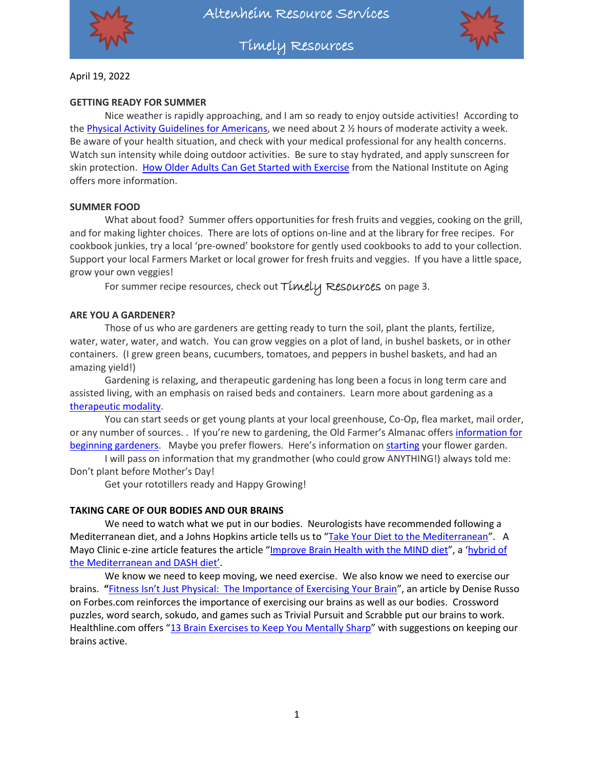

Timely Resources



April 19, 2022

#### **GETTING READY FOR SUMMER**

Nice weather is rapidly approaching, and I am so ready to enjoy outside activities! According to th[e Physical Activity Guidelines for Americans,](https://health.gov/sites/default/files/2019-09/Physical_Activity_Guidelines_2nd_edition.pdf) we need about 2 ½ hours of moderate activity a week. Be aware of your health situation, and check with your medical professional for any health concerns. Watch sun intensity while doing outdoor activities. Be sure to stay hydrated, and apply sunscreen for skin protection. [How Older Adults Can Get Started with Exercise](https://www.nia.nih.gov/health/how-older-adults-can-get-started-exercise) from the National Institute on Aging offers more information.

#### **SUMMER FOOD**

What about food? Summer offers opportunities for fresh fruits and veggies, cooking on the grill, and for making lighter choices. There are lots of options on-line and at the library for free recipes. For cookbook junkies, try a local 'pre-owned' bookstore for gently used cookbooks to add to your collection. Support your local Farmers Market or local grower for fresh fruits and veggies. If you have a little space, grow your own veggies!

For summer recipe resources, check out Timely Resources on page 3.

#### **ARE YOU A GARDENER?**

Those of us who are gardeners are getting ready to turn the soil, plant the plants, fertilize, water, water, water, and watch. You can grow veggies on a plot of land, in bushel baskets, or in other containers. (I grew green beans, cucumbers, tomatoes, and peppers in bushel baskets, and had an amazing yield!)

Gardening is relaxing, and therapeutic gardening has long been a focus in long term care and assisted living, with an emphasis on raised beds and containers. Learn more about gardening as a [therapeutic modality.](https://www.ahta.org/about-horticultural-therapy)

You can start seeds or get young plants at your local greenhouse, Co-Op, flea market, mail order, or any number of sources. . If you're new to gardening, the Old Farmer's Almanac offers information for [beginning gardeners.](https://www.almanac.com/vegetable-gardening-for-beginners) Maybe you prefer flowers. Here's information on [starting](https://www.almanac.com/how-start-flower-garden) your flower garden.

I will pass on information that my grandmother (who could grow ANYTHING!) always told me: Don't plant before Mother's Day!

Get your rototillers ready and Happy Growing!

#### **TAKING CARE OF OUR BODIES AND OUR BRAINS**

We need to watch what we put in our bodies. Neurologists have recommended following a Mediterranean diet, and a Johns Hopkins article tells us to "[Take Your Diet to the Mediterranean](https://www.hopkinsmedicine.org/health/wellness-and-prevention/take-your-diet-to-the-mediterranean)". A Mayo Clinic e-zine article features the article "[Improve Brain Health with the MIND diet](https://www.mayoclinic.org/healthy-lifestyle/nutrition-and-healthy-eating/in-depth/improve-brain-health-with-the-mind-diet/art-20454746)", a 'hybrid of [the Mediterranean and DASH diet'](https://www.forbes.com/health/body/what-is-the-mind-diet/).

We know we need to keep moving, we need exercise. We also know we need to exercise our brains. **"**[Fitness Isn't Just Physical: The Importance of Exercising Your Brain"](https://www.forbes.com/sites/forbescoachescouncil/2021/05/20/fitness-isnt-just-physical-the-importance-of-exercising-your-brain/?sh=23b4722b14e1), an article by Denise Russo on Forbes.com reinforces the importance of exercising our brains as well as our bodies. Crossword puzzles, word search, sokudo, and games such as Trivial Pursuit and Scrabble put our brains to work. Healthline.com offers "[13 Brain Exercises to Keep You Mentally Sharp](https://www.healthline.com/health/mental-health/brain-exercises)" with suggestions on keeping our brains active.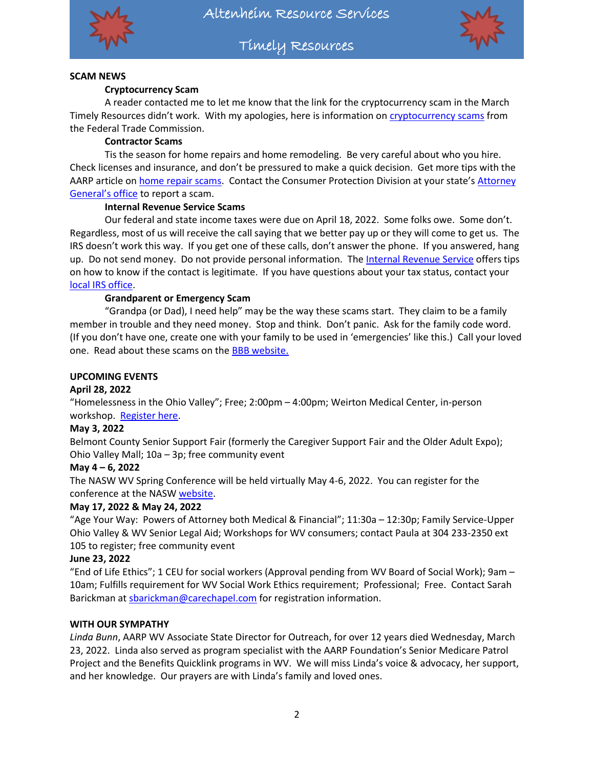

Timely Resources



#### **SCAM NEWS**

#### **Cryptocurrency Scam**

A reader contacted me to let me know that the link for the cryptocurrency scam in the March Timely Resources didn't work. With my apologies, here is information on [cryptocurrency scams](https://consumer.ftc.gov/articles/what-know-about-cryptocurrency-scams) from the Federal Trade Commission.

#### **Contractor Scams**

Tis the season for home repairs and home remodeling. Be very careful about who you hire. Check licenses and insurance, and don't be pressured to make a quick decision. Get more tips with the AARP article o[n home repair scams.](https://www.aarp.org/money/scams-fraud/info-2019/home-improvement.html) Contact the Consumer Protection Division at your state's Attorney [General](https://www.usa.gov/state-attorney-general)'s office to report a scam.

#### **Internal Revenue Service Scams**

Our federal and state income taxes were due on April 18, 2022. Some folks owe. Some don't. Regardless, most of us will receive the call saying that we better pay up or they will come to get us. The IRS doesn't work this way. If you get one of these calls, don't answer the phone. If you answered, hang up. Do not send money. Do not provide personal information. The [Internal Revenue Service](https://www.irs.gov/newsroom/how-to-know-its-really-the-irs-calling-or-knocking-on-your-door-collection) offers tips on how to know if the contact is legitimate. If you have questions about your tax status, contact your [local IRS office.](https://www.irs.gov/)

#### **Grandparent or Emergency Scam**

"Grandpa (or Dad), I need help" may be the way these scams start. They claim to be a family member in trouble and they need money. Stop and think. Don't panic. Ask for the family code word. (If you don't have one, create one with your family to be used in 'emergencies' like this.) Call your loved one. Read about these scams on the [BBB website.](https://www.cantonrep.com/story/news/2022/03/31/better-business-bureau-warns-grandparent-scams-rising-canton-area/7222067001/)

#### **UPCOMING EVENTS**

#### **April 28, 2022**

"Homelessness in the Ohio Valley"; Free; 2:00pm – 4:00pm; Weirton Medical Center, in-person workshop. [Register here.](https://www.eventbrite.com/e/homelessness-in-the-upper-ohio-valley-tickets-290808164047?aff=ebdsoporgprofile)

#### **May 3, 2022**

Belmont County Senior Support Fair (formerly the Caregiver Support Fair and the Older Adult Expo); Ohio Valley Mall; 10a – 3p; free community event

#### **May 4 – 6, 2022**

The NASW WV Spring Conference will be held virtually May 4-6, 2022. You can register for the conference at the NAS[W website.](https://naswwv.socialworkers.org/Events/Spring-Conference)

#### **May 17, 2022 & May 24, 2022**

"Age Your Way: Powers of Attorney both Medical & Financial"; 11:30a – 12:30p; Family Service-Upper Ohio Valley & WV Senior Legal Aid; Workshops for WV consumers; contact Paula at 304 233-2350 ext 105 to register; free community event

#### **June 23, 2022**

"End of Life Ethics"; 1 CEU for social workers (Approval pending from WV Board of Social Work); 9am – 10am; Fulfills requirement for WV Social Work Ethics requirement; Professional; Free. Contact Sarah Barickman at [sbarickman@carechapel.com](mailto:sbarickman@carechapel.com) for registration information.

#### **WITH OUR SYMPATHY**

*Linda Bunn*, AARP WV Associate State Director for Outreach, for over 12 years died Wednesday, March 23, 2022. Linda also served as program specialist with the AARP Foundation's Senior Medicare Patrol Project and the Benefits Quicklink programs in WV. We will miss Linda's voice & advocacy, her support, and her knowledge. Our prayers are with Linda's family and loved ones.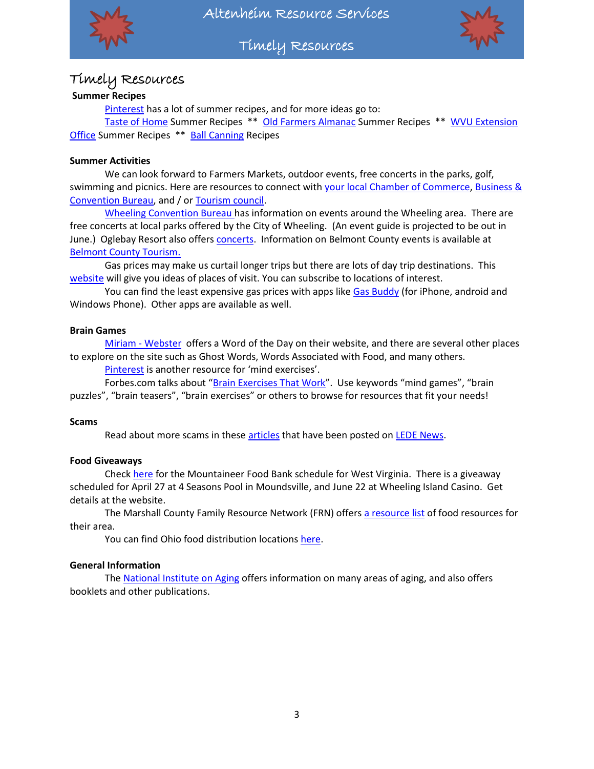

Altenheim Resource Services

Timely Resources



# Timely Resources

# **Summer Recipes**

[Pinterest](https://www.pinterest.com/) has a lot of summer recipes, and for more ideas go to:

[Taste of Home](https://www.tasteofhome.com/holidays-events/seasonal/summer/) Summer Recipes \*\* [Old Farmers Almanac](https://www.almanac.com/cooking?search_api_fulltext=summer+recipes) Summer Recipes \*\* [WVU Extension](https://extension.wvu.edu/food-health/recipes/2021/07)  [Office](https://extension.wvu.edu/food-health/recipes/2021/07) Summer Recipes \*\* [Ball Canning](https://www.healthycanning.com/recipes) Recipes

#### **Summer Activities**

We can look forward to Farmers Markets, outdoor events, free concerts in the parks, golf, swimming and picnics. Here are resources to connect with [your local Chamber of Commerce,](https://www.uschamber.com/co/chambers) Business & [Convention Bureau,](http://www.cvent.com/rfp/us-cvb-directory-84666a30191e407ea182af64c488696a.aspx) and / or [Tourism council.](https://www.usa.gov/state-travel-and-tourism)

[Wheeling Convention Bureau](https://wheelingcvb.com/) has information on events around the Wheeling area. There are free concerts at local parks offered by the City of Wheeling. (An event guide is projected to be out in June.) Oglebay Resort also offers [concerts.](https://oglebay.com/sunday-funday-concerts/) Information on Belmont County events is available at [Belmont County Tourism.](https://www.visitbelmontcounty.com/)

Gas prices may make us curtail longer trips but there are lots of day trip destinations. This [website](https://www.onlyinyourstate.com/) will give you ideas of places of visit. You can subscribe to locations of interest.

You can find the least expensive gas prices with apps like [Gas Buddy](https://www.gasbuddy.com/home) (for iPhone, android and Windows Phone). Other apps are available as well.

#### **Brain Games**

Miriam - [Webster](https://www.merriam-webster.com/word-of-the-day) offers a Word of the Day on their website, and there are several other places to explore on the site such as Ghost Words, Words Associated with Food, and many others.

[Pinterest](https://www.pinterest.com/) is another resource for 'mind exercises'.

Forbes.com talks about "[Brain Exercises That Work](https://www.forbes.com/health/healthy-aging/brain-exercises/)". Use keywords "mind games", "brain puzzles", "brain teasers", "brain exercises" or others to browse for resources that fit your needs!

#### **Scams**

Read about more scams in these [articles](https://ledenews.com/?s=scams) that have been posted on [LEDE News.](https://ledenews.com/)

#### **Food Giveaways**

Check [here](https://www.mountaineerfoodbank.org/mobile-food-pantry) for the Mountaineer Food Bank schedule for West Virginia. There is a giveaway scheduled for April 27 at 4 Seasons Pool in Moundsville, and June 22 at Wheeling Island Casino. Get details at the website.

The Marshall County Family Resource Network (FRN) offer[s a resource list](http://marshallcountyfrn.com/wp-content/uploads/2022/01/Food-Assistance-Guide-Updated-12422.pdf) of food resources for their area.

You can find Ohio food distribution locations [here.](https://freshtrak.com/)

#### **General Information**

The [National Institute on Aging](https://www.nia.nih.gov/) offers information on many areas of aging, and also offers booklets and other publications.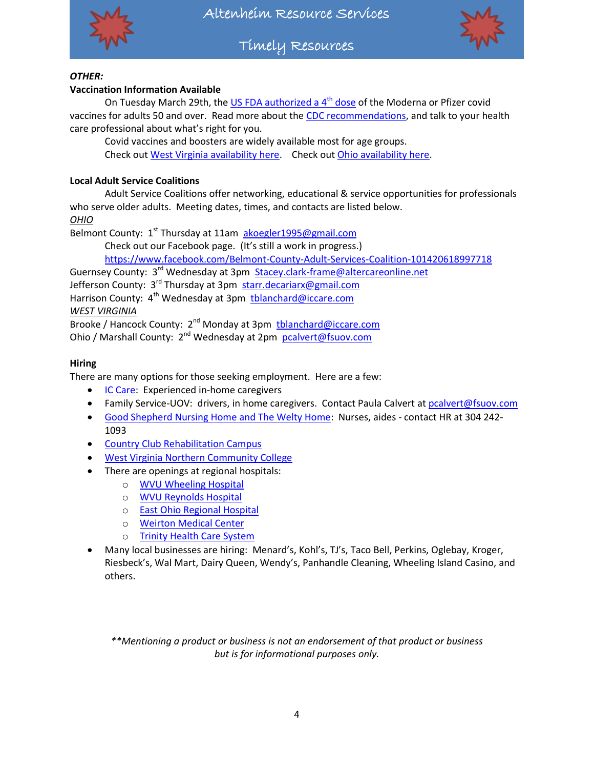

Timely Resources



# *OTHER:*

### **Vaccination Information Available**

On Tuesday March 29th, th[e US FDA authorized a 4](https://www.cnet.com/health/medical/4th-covid-vaccine-shot-who-will-get-2nd-boosters/)<sup>th</sup> dose of the Moderna or Pfizer covid vaccines for adults 50 and over. Read more about the [CDC recommendations,](https://www.cdc.gov/coronavirus/2019-ncov/vaccines/stay-up-to-date.html?s_cid=11747:time%20between%20covid%20vaccines:sem.ga:p:RG:GM:gen:PTN:FY22) and talk to your health care professional about what's right for you.

Covid vaccines and boosters are widely available most for age groups. Check out [West Virginia availability here.](https://dhhr.wv.gov/COVID-19/Pages/Vaccine.aspx) Check ou[t Ohio availability here.](https://coronavirus.ohio.gov/wps/portal/gov/covid-19/covid-19-vaccination-program)

# **Local Adult Service Coalitions**

Adult Service Coalitions offer networking, educational & service opportunities for professionals who serve older adults. Meeting dates, times, and contacts are listed below.

*OHIO*

Belmont County: 1<sup>st</sup> Thursday at 11am [akoegler1995@gmail.com](mailto:akoegler1995@gmail.com)

Check out our Facebook page. (It's still a work in progress.)

<https://www.facebook.com/Belmont-County-Adult-Services-Coalition-101420618997718>

Guernsey County: 3<sup>rd</sup> Wednesday at 3pm [Stacey.clark-frame@altercareonline.net](mailto:Stacey.clark-frame@altercareonline.net)

Jefferson County: 3<sup>rd</sup> Thursday at 3pm [starr.decariarx@gmail.com](mailto:starr.decariarx@gmail.com)

Harrison County: 4<sup>th</sup> Wednesday at 3pm thlanchard@iccare.com

*WEST VIRGINIA*

Brooke / Hancock County: 2<sup>nd</sup> Monday at 3pm thlanchard@iccare.com

Ohio / Marshall County: 2<sup>nd</sup> Wednesday at 2pm [pcalvert@fsuov.com](mailto:pcalvert@fsuov.com)

# **Hiring**

There are many options for those seeking employment. Here are a few:

- **[IC Care:](http://www.iccare.com/hiring/) Experienced in-home caregivers**
- Family Service-UOV: drivers, in home caregivers. Contact Paula Calvert a[t pcalvert@fsuov.com](mailto:pcalvert@fsuov.com)
- [Good Shepherd Nursing Home and The Welty Home:](https://weltyhome.org/) Nurses, aides contact HR at 304 242- 1093
- [Country Club Rehabilitation Campus](http://www.countryclubretirementcampus.com/employment.html)
- [West Virginia Northern Community College](https://www.wvncc.edu/offices-and-services/employment-opportunities/49)
- There are openings at regional hospitals:
	- o [WVU Wheeling Hospital](https://cta.cadienttalent.com/index.jsp?APPLICATIONNAME=WheelingHospitalKTMDReqExt&locale=en_US)
	- o [WVU Reynolds Hospital](https://re12.ultipro.com/WES1019WVUH/JobBoard/ListJobs.aspx?__PXDO=*5B193482696D86A46BE27A09BF9D44EF1FEF5044CF8196FBF1B81AABDB2580DA35D2E0E945D769E69249FCDCF130A4B1D3104011C807F147712D6EA5E4CC1ABC99A8DA4AA272D02FEAC1C3B02E5FF2966724009B422B7DC9C150EE4EB8BBDEE66D889DF3F2ED31300B672A6BD6778DCBA44779F751744AF4F307DE90EAA39EF0EB8C05D1C46B5CBA213A49154528CA611FB61078FBCB832C3447344EA25F5AD44CB626293A8EBF13F56047868075F408B37DE48463C82653&__SQV=*A78F6B2531DE646B8558708147DCB4A7D204067830D31985)
	- o [East Ohio Regional Hospital](https://www.eohospital.com/careers)
	- o [Weirton Medical Center](https://www.weirtonmedical.com/employment/)
	- o [Trinity Health Care System](https://trinityhealth.com/careers/)
- Many local businesses are hiring: Menard's, Kohl's, TJ's, Taco Bell, Perkins, Oglebay, Kroger, Riesbeck's, Wal Mart, Dairy Queen, Wendy's, Panhandle Cleaning, Wheeling Island Casino, and others.

*\*\*Mentioning a product or business is not an endorsement of that product or business but is for informational purposes only.*